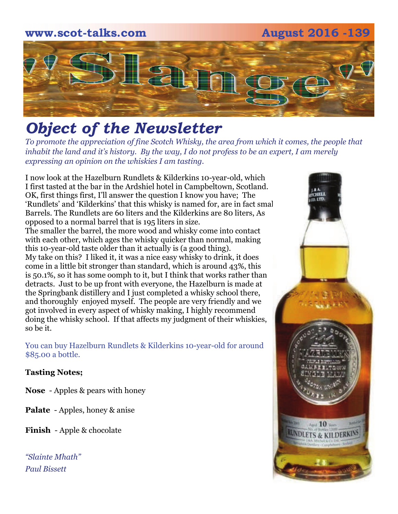# **www.scot-talks.com August 2016 -139** 121

# *Object of the Newsletter*

*To promote the appreciation of fine Scotch Whisky, the area from which it comes, the people that inhabit the land and it's history. By the way, I do not profess to be an expert, I am merely expressing an opinion on the whiskies I am tasting.* 

I now look at the Hazelburn Rundlets & Kilderkins 10-year-old, which I first tasted at the bar in the Ardshiel hotel in Campbeltown, Scotland. OK, first things first, I'll answer the question I know you have; The 'Rundlets' and 'Kilderkins' that this whisky is named for, are in fact small Barrels. The Rundlets are 60 liters and the Kilderkins are 80 liters, As opposed to a normal barrel that is 195 liters in size. The smaller the barrel, the more wood and whisky come into contact with each other, which ages the whisky quicker than normal, making this 10-year-old taste older than it actually is (a good thing). My take on this? I liked it, it was a nice easy whisky to drink, it does come in a little bit stronger than standard, which is around 43%, this is 50.1%, so it has some oomph to it, but I think that works rather than detracts. Just to be up front with everyone, the Hazelburn is made at the Springbank distillery and I just completed a whisky school there, and thoroughly enjoyed myself. The people are very friendly and we got involved in every aspect of whisky making, I highly recommend doing the whisky school. If that affects my judgment of their whiskies, so be it.

You can buy Hazelburn Rundlets & Kilderkins 10-year-old for around \$85.00 a bottle.

#### **Tasting Notes;**

**Nose** - Apples & pears with honey

**Palate** - Apples, honey & anise

**Finish** - Apple & chocolate

*"Slainte Mhath" Paul Bissett*

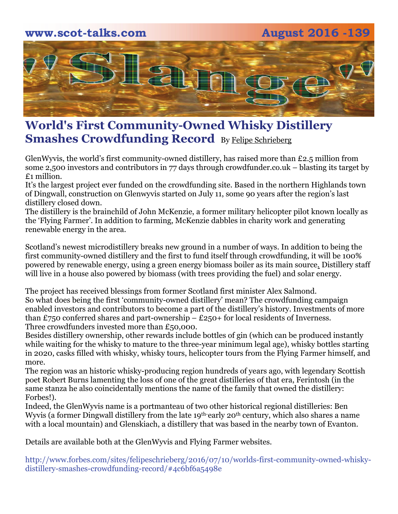### **www.scot-talks.com August 2016 -139**



### **World's First Community-Owned Whisky Distillery Smashes Crowdfunding Record** By [Felipe Schrieberg](http://www.forbes.com/sites/felipeschrieberg/)

GlenWyvis, the world's first community-owned distillery, has raised more than £2.5 million from some 2,500 investors and contributors in 77 days through crowdfunder.co.uk – blasting its target by £1 million.

It's the largest project ever funded on the crowdfunding site. Based in the northern Highlands town of Dingwall, construction on Glenwyvis started on July 11, some 90 years after the region's last distillery closed down.

The distillery is the brainchild of John McKenzie, a former military helicopter pilot known locally as the 'Flying Farmer'. In addition to farming, McKenzie dabbles in charity work and generating renewable energy in the area.

Scotland's newest microdistillery breaks new ground in a number of ways. [In addition to being the](https://twitter.com/intent/tweet?url=http%3A%2F%2Fwww.forbes.com%2Fsites%2Ffelipeschrieberg%2F2016%2F07%2F10%2Fworlds-first-community-owned-whisky-distillery-smashes-crowdfunding-record%2F&text=The%20distillery%20will%20be%20100%25%20powered%20by%20renewable%20energy)  [first community-owned distillery and the first to fund itself through crowdfunding, it will be 100%](https://twitter.com/intent/tweet?url=http%3A%2F%2Fwww.forbes.com%2Fsites%2Ffelipeschrieberg%2F2016%2F07%2F10%2Fworlds-first-community-owned-whisky-distillery-smashes-crowdfunding-record%2F&text=The%20distillery%20will%20be%20100%25%20powered%20by%20renewable%20energy)  [powered by renewable energy, using a green energy biomass boiler as its main source.](https://twitter.com/intent/tweet?url=http%3A%2F%2Fwww.forbes.com%2Fsites%2Ffelipeschrieberg%2F2016%2F07%2F10%2Fworlds-first-community-owned-whisky-distillery-smashes-crowdfunding-record%2F&text=The%20distillery%20will%20be%20100%25%20powered%20by%20renewable%20energy) Distillery staff will live in a house also powered by biomass (with trees providing the fuel) and solar energy.

The project has received blessings from former Scotland first minister Alex Salmond. So what does being the first 'community-owned distillery' mean? The crowdfunding campaign enabled investors and contributors to become a part of the distillery's history. Investments of more than £750 conferred shares and part-ownership – £250+ for local residents of Inverness. Three crowdfunders invested more than £50,000.

Besides distillery ownership, other rewards include bottles of gin (which can be produced instantly while waiting for the whisky to mature to the three-year minimum legal age), whisky bottles starting in 2020, casks filled with whisky, whisky tours, helicopter tours from the Flying Farmer himself, and more.

The region was an historic whisky-producing region hundreds of years ago, with legendary Scottish poet Robert Burns lamenting the loss of one of the great distilleries of that era, Ferintosh (in the same stanza he also coincidentally mentions the name of the family that owned the distillery: Forbes!).

Indeed, the GlenWyvis name is a portmanteau of two other historical regional distilleries: Ben Wyvis (a former Dingwall distillery from the late 19<sup>th-</sup>early 20<sup>th</sup> century, which also shares a name with a local mountain) and Glenskiach, a distillery that was based in the nearby town of Evanton.

Details are available both at the GlenWyvis and Flying Farmer websites.

http://www.forbes.com/sites/felipeschrieberg/2016/07/10/worlds-first-community-owned-whiskydistillery-smashes-crowdfunding-record/#4c6bf6a5498e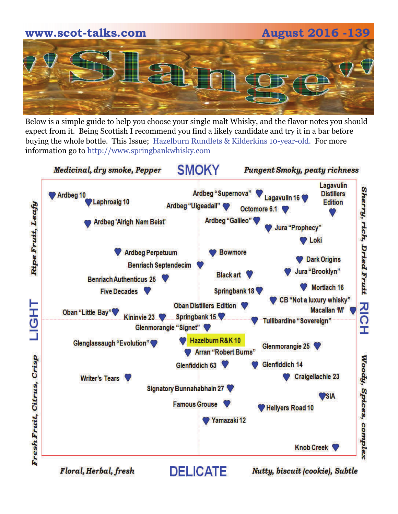

Below is a simple guide to help you choose your single malt Whisky, and the flavor notes you should expect from it. Being Scottish I recommend you find a likely candidate and try it in a bar before buying the whole bottle. This Issue; Hazelburn Rundlets & Kilderkins 10-year-old. For more information go to http://www.springbankwhisky.com

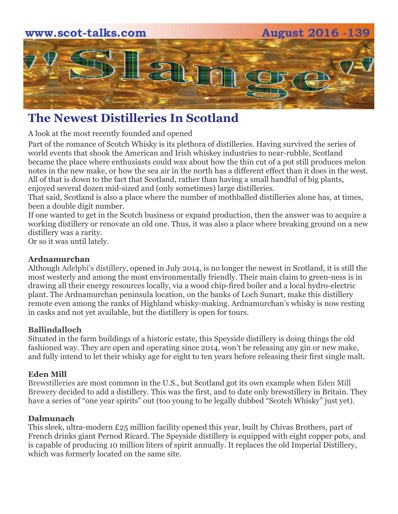# **www.scot-talks.com August 2016 -139** Larn

# **The Newest Distilleries In Scotland**

A look at the most recently founded and opened

Part of the romance of Scotch Whisky is its plethora of distilleries. Having survived the series of world events that shook the American and Irish whiskey industries to near-rubble, Scotland became the place where enthusiasts could wax about how the thin cut of a pot still produces melon notes in the new make, or how the sea air in the north has a different effect than it does in the west. All of that is down to the fact that Scotland, rather than having a small handful of big plants, enjoyed several dozen mid-sized and (only sometimes) large distilleries.

That said, Scotland is also a place where the number of mothballed distilleries alone has, at times, been a double digit number.

If one wanted to get in the Scotch business or expand production, then the answer was to acquire a working distillery or renovate an old one. Thus, it was also a place where breaking ground on a new distillery was a rarity.

Or so it was until lately.

#### **Ardnamurchan**

Although [Adelphi's distillery](http://adelphidistillery.com/), opened in July 2014, is no longer the newest in Scotland, it is still the most westerly and among the most environmentally friendly. Their main claim to green-ness is in drawing all their energy resources locally, via a wood chip-fired boiler and a local hydro-electric plant. The Ardnamurchan peninsula location, on the banks of Loch Sunart, make this distillery remote even among the ranks of Highland whisky-making. Ardnamurchan's whisky is now resting in casks and not yet available, but the distillery is open for tours.

#### **[Ballindalloch](http://www.ballindallochdistillery.com/)**

Situated in the farm buildings of a historic estate, this Speyside distillery is doing things the old fashioned way. They are open and operating since 2014, won't be releasing any gin or new make, and fully intend to let their whisky age for eight to ten years before releasing their first single malt.

#### **Eden Mill**

[Brewstilleries](http://whiskeyreviewer.com/2016/06/brewstilling-making-beer-and-whiskey-under-one-roof-062016/) are most common in the U.S., but Scotland got its own example when [Eden Mill](http://edenmillstandrews.com/)  [Brewery](http://edenmillstandrews.com/) decided to add a distillery. This was the first, and to date only brewstillery in Britain. They have a series of "one year spirits" out (too young to be legally dubbed "Scotch Whisky" just yet).

#### **Dalmunach**

This sleek, ultra-modern £25 million facility opened this year, built by Chivas Brothers, part of French drinks giant Pernod Ricard. The Speyside distillery is equipped with eight copper pots, and is capable of producing 10 million liters of spirit annually. It replaces the old Imperial Distillery, which was formerly located on the same site.